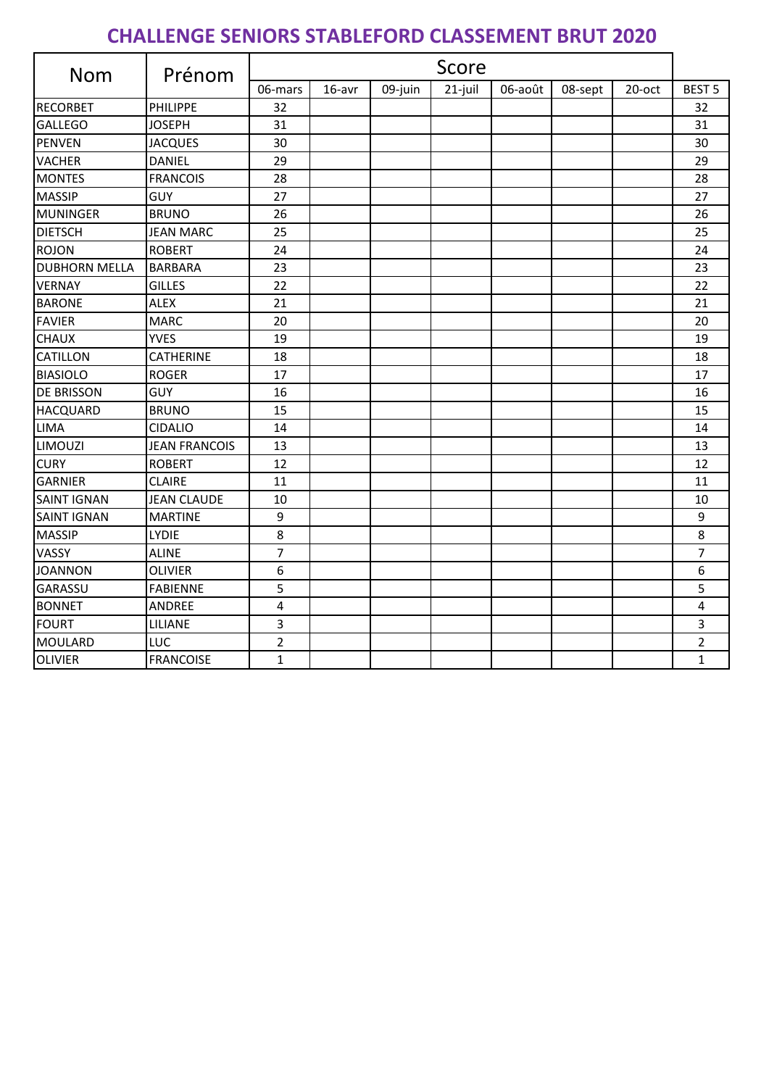## **CHALLENGE SENIORS STABLEFORD CLASSEMENT BRUT 2020**

| <b>Nom</b>           | Prénom               | Score          |        |         |         |         |         |        |                |
|----------------------|----------------------|----------------|--------|---------|---------|---------|---------|--------|----------------|
|                      |                      | 06-mars        | 16-avr | 09-juin | 21-juil | 06-août | 08-sept | 20-oct | <b>BEST 5</b>  |
| <b>RECORBET</b>      | PHILIPPE             | 32             |        |         |         |         |         |        | 32             |
| <b>GALLEGO</b>       | <b>JOSEPH</b>        | 31             |        |         |         |         |         |        | 31             |
| <b>PENVEN</b>        | <b>JACQUES</b>       | 30             |        |         |         |         |         |        | 30             |
| <b>VACHER</b>        | <b>DANIEL</b>        | 29             |        |         |         |         |         |        | 29             |
| <b>MONTES</b>        | <b>FRANCOIS</b>      | 28             |        |         |         |         |         |        | 28             |
| <b>MASSIP</b>        | <b>GUY</b>           | 27             |        |         |         |         |         |        | 27             |
| <b>MUNINGER</b>      | <b>BRUNO</b>         | 26             |        |         |         |         |         |        | 26             |
| <b>DIETSCH</b>       | <b>JEAN MARC</b>     | 25             |        |         |         |         |         |        | 25             |
| <b>ROJON</b>         | <b>ROBERT</b>        | 24             |        |         |         |         |         |        | 24             |
| <b>DUBHORN MELLA</b> | <b>BARBARA</b>       | 23             |        |         |         |         |         |        | 23             |
| <b>VERNAY</b>        | <b>GILLES</b>        | 22             |        |         |         |         |         |        | 22             |
| <b>BARONE</b>        | <b>ALEX</b>          | 21             |        |         |         |         |         |        | 21             |
| <b>FAVIER</b>        | <b>MARC</b>          | 20             |        |         |         |         |         |        | 20             |
| <b>CHAUX</b>         | <b>YVES</b>          | 19             |        |         |         |         |         |        | 19             |
| <b>CATILLON</b>      | CATHERINE            | 18             |        |         |         |         |         |        | 18             |
| <b>BIASIOLO</b>      | <b>ROGER</b>         | 17             |        |         |         |         |         |        | 17             |
| <b>DE BRISSON</b>    | <b>GUY</b>           | 16             |        |         |         |         |         |        | 16             |
| <b>HACQUARD</b>      | <b>BRUNO</b>         | 15             |        |         |         |         |         |        | 15             |
| LIMA                 | <b>CIDALIO</b>       | 14             |        |         |         |         |         |        | 14             |
| LIMOUZI              | <b>JEAN FRANCOIS</b> | 13             |        |         |         |         |         |        | 13             |
| <b>CURY</b>          | <b>ROBERT</b>        | 12             |        |         |         |         |         |        | 12             |
| <b>GARNIER</b>       | <b>CLAIRE</b>        | 11             |        |         |         |         |         |        | 11             |
| <b>SAINT IGNAN</b>   | <b>JEAN CLAUDE</b>   | 10             |        |         |         |         |         |        | 10             |
| <b>SAINT IGNAN</b>   | <b>MARTINE</b>       | 9              |        |         |         |         |         |        | 9              |
| <b>MASSIP</b>        | <b>LYDIE</b>         | 8              |        |         |         |         |         |        | 8              |
| VASSY                | <b>ALINE</b>         | $\overline{7}$ |        |         |         |         |         |        | $\overline{7}$ |
| <b>JOANNON</b>       | <b>OLIVIER</b>       | 6              |        |         |         |         |         |        | 6              |
| GARASSU              | <b>FABIENNE</b>      | 5              |        |         |         |         |         |        | 5              |
| <b>BONNET</b>        | ANDREE               | 4              |        |         |         |         |         |        | 4              |
| <b>FOURT</b>         | LILIANE              | 3              |        |         |         |         |         |        | 3              |
| <b>MOULARD</b>       | LUC                  | $\mathbf 2$    |        |         |         |         |         |        | $\overline{2}$ |
| <b>OLIVIER</b>       | <b>FRANCOISE</b>     | $\mathbf{1}$   |        |         |         |         |         |        | $\mathbf{1}$   |